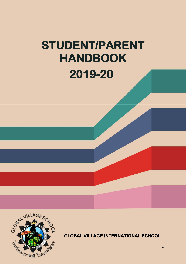# **STUDENT/PARENT HANDBOOK 2019-20**



**GLOBAL VILLAGE INTERNATIONAL SCHOOL**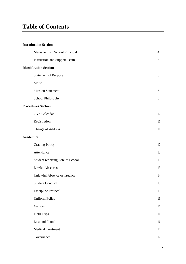## **Table of Contents**

#### **Introduction Section**

| Message from School Principal       | $\overline{4}$ |
|-------------------------------------|----------------|
| <b>Instruction and Support Team</b> | 5              |
| <b>Identification Section</b>       |                |
| <b>Statement of Purpose</b>         | 6              |
| Motto                               | 6              |
| <b>Mission Statement</b>            | 6              |
| School Philosophy                   | 8              |
| <b>Procedures Section</b>           |                |
| <b>GVS</b> Calendar                 | $10\,$         |
| Registration                        | 11             |
| <b>Change of Address</b>            | 11             |
| <b>Academics</b>                    |                |
| <b>Grading Policy</b>               | 12             |
| Attendance                          | 13             |
| Student reporting Late of School    | 13             |
| <b>Lawful Absences</b>              | 13             |
| Unlawful Absence or Truancy         | 14             |
| <b>Student Conduct</b>              | 15             |
| Discipline Protocol                 | 15             |
| <b>Uniform Policy</b>               | 16             |
| <b>Visitors</b>                     | 16             |
| <b>Field Trips</b>                  | 16             |
| Lost and Found                      | 16             |
| <b>Medical Treatment</b>            | 17             |
| Governance                          | 17             |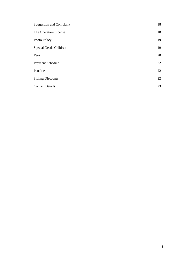| <b>Suggestion and Complaint</b> | 18 |
|---------------------------------|----|
| The Operation License           | 18 |
| Photo Policy                    | 19 |
| Special Needs Children          | 19 |
| Fees                            | 20 |
| Payment Schedule                | 22 |
| Penalties                       | 22 |
| <b>Sibling Discounts</b>        | 22 |
| <b>Contact Details</b>          | 23 |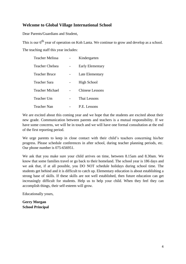#### **Welcome to Global Village International School**

Dear Parents/Guardians and Student,

This is our  $6<sup>th</sup>$  year of operation on Koh Lanta. We continue to grow and develop as a school.

The teaching staff this year includes:

| <b>Teacher Melissa</b> | Kindergarten           |
|------------------------|------------------------|
| <b>Teacher Chelsea</b> | Early Elementary       |
| <b>Teacher Bruce</b>   | Late Elementary        |
| Teacher Sara           | <b>High School</b>     |
| Teacher Michael        | <b>Chinese Lessons</b> |
| Teacher Um             | Thai Lessons           |
| Teacher Nan            | P.E. Lessons           |

We are excited about this coming year and we hope that the students are excited about their new grade. Communication between parents and teachers is a mutual responsibility. If we have some concerns, we will be in touch and we will have one formal consultation at the end of the first reporting period.

We urge parents to keep in close contact with their child's teachers concerning his/her progress. Please schedule conferences in after school, during teacher planning periods, etc. Our phone number is 075-656951.

We ask that you make sure your child arrives on time, between 8.15am and 8.30am. We know that some families travel or go back to their homeland. The school year is 186 days and we ask that, if at all possible, you DO NOT schedule holidays during school time. The students get behind and it is difficult to catch up. Elementary education is about establishing a strong base of skills. If these skills are not well established, then future education can get increasingly difficult for students. Help us to help your child. When they feel they can accomplish things, their self-esteem will grow.

Educationally yours,

**Gerry Morgan School Principal**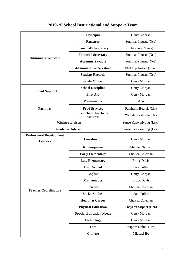|                                                   | Principal                                       | Gerry Morgan           |  |
|---------------------------------------------------|-------------------------------------------------|------------------------|--|
| <b>Administrative Staff</b>                       | Registrar                                       | Sommai Pihusut (Nee)   |  |
|                                                   | <b>Principal's Secretary</b>                    | Chawisa (Cherry)       |  |
|                                                   | <b>Financial Secretary</b>                      | Sommai Pihusut (Nee)   |  |
|                                                   | <b>Accounts Payable</b>                         | Sommai Pihusut (Nee)   |  |
|                                                   | <b>Administrative Assistant</b>                 | Phakatip Kawee (Bew)   |  |
|                                                   | <b>Student Records</b>                          | Sommai Pihusut (Nee)   |  |
|                                                   | <b>Safety Officer</b>                           | Gerry Morgan           |  |
| <b>Student Support</b>                            | <b>School Discipline</b>                        | Gerry Morgan           |  |
|                                                   | <b>First Aid</b>                                | Gerry Morgan           |  |
|                                                   | <b>Maintenance</b>                              | Anu                    |  |
| <b>Facilities</b>                                 | <b>Food Services</b>                            | Patcharin Bualek (Lin) |  |
|                                                   | <b>Pre-School Teacher's</b><br><b>Assistant</b> | Wanida Avabuesa (Da)   |  |
| <b>Ministry Liaison</b>                           | Sunee Kaewsriyong (Lexi)                        |                        |  |
| <b>Academic Advisor</b>                           | Sunee Kaewsriyong (Lexi)                        |                        |  |
| <b>Professional Development</b><br><b>Leaders</b> | Gerry Morgan                                    |                        |  |
|                                                   | Kindergarten                                    | Melissa Nyman          |  |
|                                                   | <b>Early Elementary</b>                         | Chelsea Coleman        |  |
|                                                   | <b>Late Elementary</b>                          | <b>Bruce Davis</b>     |  |
|                                                   | <b>High School</b>                              | Sara Fuller            |  |
|                                                   | <b>English</b>                                  | Gerry Morgan           |  |
|                                                   | <b>Mathematics</b>                              | <b>Bruce Davis</b>     |  |
| <b>Teacher Coordinators</b>                       | <b>Science</b>                                  | Chelsea Coleman        |  |
|                                                   | <b>Social Studies</b>                           | Sara Fuller            |  |
|                                                   | <b>Health &amp; Career</b>                      | Chelsea Coleman        |  |
|                                                   | <b>Physical Education</b>                       | Chayarat Sriphet (Nan) |  |
|                                                   | <b>Special Education Needs</b><br>Gerry Morgan  |                        |  |
|                                                   | <b>Technology</b><br>Gerry Morgan               |                        |  |
|                                                   | Thai<br>Jiraporn Kulnoi (Um)                    |                        |  |
|                                                   | <b>Chinese</b>                                  | Michael Bo             |  |

## **2019-20 School Instructional and Support Team**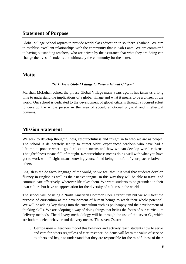#### **Statement of Purpose**

Global Village School aspires to provide world class education in southern Thailand. We aim to establish excellent relationships with the community that is Koh Lanta. We are committed to having outstanding teachers, who are driven by the assurance that what they are doing can change the lives of students and ultimately the community for the better.

#### **Motto**

#### *"It Takes a Global Village to Raise a Global Citizen"*

Marshall McLuhan coined the phrase Global Village many years ago. It has taken us a long time to understand the implications of a global village and what it means to be a citizen of the world. Our school is dedicated to the development of global citizens through a focused effort to develop the whole person in the area of social, emotional physical and intellectual domains.

#### **Mission Statement**

We seek to develop thoughtfulness, resourcefulness and insight in to who we are as people. The school is deliberately set up to attract older, experienced teachers who have had a lifetime to ponder what a good education means and how we can develop world citizens. Thoughtfulness means full of thought. Resourcefulness means doing well with what you have got to work with. Insight means knowing yourself and being mindful of your place relative to others.

English is the de facto language of the world, so we feel that it is vital that students develop fluency in English as well as their native tongue. In this way they will be able to travel and communicate effectively, wherever life takes them. We want students to be grounded in their own culture but have an appreciation for the diversity of cultures in the world.

The school will be using a North American Common Core Curriculum but we will treat the purpose of curriculum as the development of human beings to reach their whole potential. We will be adding key things into the curriculum such as philosophy and the development of thinking skills. We are adopting a way of doing things that belies the focus of our curriculum delivery methods. The delivery methodology will be through the use of the seven Cs, which are both modeled behavior and delivery means. The seven Cs are:

1. **Compassion** – Teachers model this behavior and actively teach students how to serve and care for others regardless of circumstance. Students will learn the value of service to others and begin to understand that they are responsible for the mindfulness of their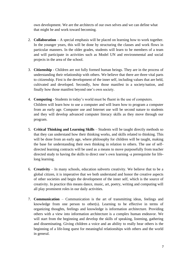own development. We are the architects of our own selves and we can define what that might be and work toward becoming.

- 2. **Collaboration**  A special emphasis will be placed on learning how to work together. In the younger years, this will be done by structuring the classes and work flows in particular manners. In the older grades, students will learn to be members of a team and will participate in activities such as Model UN and environmental and social projects in the area of the school.
- 3. **Citizenship**  Children are not fully formed human beings. They are in the process of understanding their relationship with others. We believe that there are three vital parts to citizenship. First is the development of the inner self, including values that are held, cultivated and developed. Secondly, how those manifest in a society/nation, and finally how those manifest beyond one's own society.
- 4. **Computing**  Students in today's world must be fluent in the use of computers. Children will learn how to use a computer and will learn how to program a computer from an early age. Computer use and Internet use will be second nature to students and they will develop advanced computer literacy skills as they move through our program.
- 5. **Critical Thinking and Learning Skills**  Students will be taught directly methods so that they can understand how their thinking works, and skills related to thinking. This will be done from an early age, where philosophy for children will be taught, making the base for understanding their own thinking in relation to others. The use of selfdirected learning contracts will be used as a means to move purposefully from teacher directed study to having the skills to direct one's own learning -a prerequisite for lifelong learning.
- 6. **Creativity**  In many schools, education subverts creativity. We believe that to be a global citizen, it is imperative that we both understand and honor the creative aspects of other societies and begin the development of the inner self, which is the source of creativity. In practice this means dance, music, art, poetry, writing and computing will all play prominent roles in our daily activities.
- 7. **Communication**  Communication is the art of transmitting ideas, feelings and knowledge from one person to other(s). Learning to be effective in terms of organizing thoughts, feelings and knowledge is information architecture. Providing others with a view into information architecture is a complex human endeavor. We will start from the beginning and develop the skills of speaking, listening, gathering and disseminating. Giving children a voice and an ability to really hear others is the beginning of a life-long quest for meaningful relationships with others and the world in general.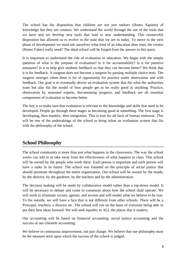The school has the disposition that children are not just seekers (Homo Sapiens) of knowledge but they are creators. We understand the world through the use of the tools that we have and we develop new tools that lead to new understanding. This resourceful disposition has allowed us to evolve to the state that we are in today. To move to the next phase of development we must ask ourselves what kind of an education does man, the creator (Homo Faber) really need? The ideal school will be forged from the answer to this quest.

It is important to understand the role of evaluation in education. We begin with the simple question of what is the purpose of evaluation? Is it for accountability? Is it for punitive measures? Is it to help give students feedback so that they can become better? We think that it is for feedback. A surgeon does not become a surgeon by passing multiple choice tests. The surgeon emerges when there is lot of opportunity for practice under observation and with feedback. Our goal is to eventually devise an evaluation system that fits what the authorities want but also fits the model of how people get to be really good at anything. Practice, observation by seasoned experts, documenting progress, and feedback are all essential components of evaluation to become better.

The key is to make sure that evaluation is relevant to the knowledge and skills that need to be developed. People go through three stages in becoming good at something. The first stage is developing, then mastery, then integration. This is true for all facts of human endeavor. This will be one of the undertakings of the school to bring inline an evaluation system that fits with the philosophy of the school.

## **School Philosophy**

The school community is more than just what happens in the classrooms. The way the school works can add to or take away from the effectiveness of what happens in class. This school will be owned by the people who work there. Each person is important and each person will have a stake in its future. The school was founded on the principle of social justice that should permeate throughout the entire organization. Our school will be owned by the maids, by the director, by the gardener, by the teachers and by the administration.

The decision making will be made by collaborative model rather than a top-down model. It will be necessary to debate and come to consensus about how the school shall operate. We will work to eliminate racism, ageism, and sexism and will model what we believe to be true. To the outside, we will have a face that is not different from other schools. There will be a Principal, teachers, a director etc. The school will run on the basis of everyone being able to put their best ideas forward. We will seek equality in ALL the places that it matters.

Our accounting will be based on financial accounting, social justice accounting and the success of our clientele accounting.

We believe in continuous improvement, not just change. We believe that our philosophy must be the measure stick upon which the success of the school is judged.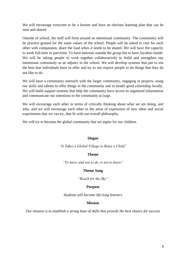We will encourage everyone to be a learner and have an obvious learning plan that can be seen and shared.

Outside of school, the staff will form around an intentional community. The community will be practice ground for the same values of the school. People will be asked to care for each other with compassion, share the load when it needs to be shared. We will have the capacity to work full-time or part-time. To have interests outside the group but to have loyalties inside. We will be asking people to work together collaboratively to build and strengthen our intentional community as an adjunct to the school. We will develop systems that put to use the best that individuals have to offer and try to not require people to do things that they do not like to do.

We will have a community outreach with the larger community, engaging in projects, using our skills and talents to offer things in the community and to model good citizenship locally. We will build support systems that help the community have access to organized information and communicate our intentions to the community at large.

We will encourage each other in terms of critically thinking about what we are doing, and why, and we will encourage each other in the areas of expression of new ideas and social experiments that we can try, that fit with our overall philosophy.

We will try to become the global community that we aspire for our children.

#### **Slogan**

#### *"It Takes a Global Village to Raise a Child"*

#### **Theme**

*"To know and not to do, is not to know"*

#### **Theme Song**

*"Reach for the Sky"*

#### **Purpose**

*Students will become life-long learners*

#### **Mission**

*Our mission is to establish a strong base of skills that provide the best chance for success*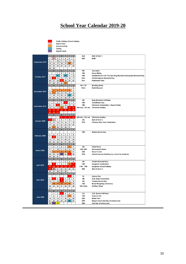## **School Year Calendar 2019-20**

|                   |                           | Public Holiday/School Holiday |                      |                |                          |                        |                                          |                           |                                                                         |  |  |
|-------------------|---------------------------|-------------------------------|----------------------|----------------|--------------------------|------------------------|------------------------------------------|---------------------------|-------------------------------------------------------------------------|--|--|
|                   |                           | Start of term                 |                      |                |                          |                        |                                          |                           |                                                                         |  |  |
|                   |                           | <b>School activity</b>        |                      |                |                          |                        |                                          |                           |                                                                         |  |  |
|                   |                           | Outing<br><b>Report Cards</b> |                      |                |                          |                        |                                          |                           |                                                                         |  |  |
|                   |                           |                               |                      |                |                          |                        |                                          |                           |                                                                         |  |  |
|                   | S                         | M                             | T                    | W              | τ                        | F                      | S                                        | 2nd                       | Start of Term 1                                                         |  |  |
|                   | 1                         | $\overline{\mathbf{2}}$       | 3                    | 4              | 5                        | 6                      | $\overline{\phantom{a}}$                 | 20th                      | <b>Batik</b>                                                            |  |  |
| September 2019    | 8                         | 9                             | 10                   | 11             | 12                       | 13                     | 14                                       |                           |                                                                         |  |  |
|                   | 15<br>22                  | 16<br>23                      | 17<br>24             | 18<br>25       | 19<br>26                 | 20<br>27               | 21<br>28                                 |                           |                                                                         |  |  |
|                   | 29                        | 30                            |                      |                |                          |                        |                                          |                           |                                                                         |  |  |
|                   | S                         | $M_{\odot}$                   | $\mathbf{r}$         | W              | T                        | F                      | $\boldsymbol{\mathsf{s}}$                | 8th                       | Asa Lanta                                                               |  |  |
|                   |                           |                               | 1                    | 2              | 3                        | 4                      | 5                                        | 10th                      | <b>Horse Riding</b>                                                     |  |  |
| October 2019      | 6                         | $\overline{\phantom{a}}$      | 8                    | 9              | 10                       | 11                     | 12                                       | 14th                      | Substitution for H.M. The late King Bhumibol Adulyadej Memorial Day     |  |  |
|                   | 13                        | 14                            | 15                   | 16             | 17                       | 18                     | 19                                       | 23rd                      | Chulalongkorn Memorial Day                                              |  |  |
|                   | 20                        | 21                            | 22                   | 23             | 24                       | 25                     | 26                                       | 31st                      | <b>Halloween Party</b>                                                  |  |  |
|                   | 27<br>$\mathsf{s}$        | 28<br>M                       | 29<br>T              | 30<br>W        | 31<br>T                  | F                      | S                                        | 4th-11th                  | <b>Reading Week</b>                                                     |  |  |
|                   |                           |                               |                      |                |                          | $\mathbf{1}$           | $\overline{\mathbf{2}}$                  | 22nd                      | Krabi Museum                                                            |  |  |
|                   | 3                         | 4                             | 5                    | $\pmb{6}$      | $\overline{7}$           | 8                      | 9                                        |                           |                                                                         |  |  |
| November 2019     | 10                        | $\mathbf{u}$                  | 12                   | 13             | 14                       | 15                     | 16                                       |                           |                                                                         |  |  |
|                   | 17                        | 18                            | 19                   | 20             | 21                       | 22                     | 23                                       |                           |                                                                         |  |  |
|                   | 24                        | 25                            | 26                   | 27             | 28                       | 29                     | 30                                       |                           |                                                                         |  |  |
|                   | S                         | M                             | $\mathbf{r}$         | W              | $\mathbf{T}$             | F                      | S                                        | 5th                       | King Bhumibol's Birthday                                                |  |  |
|                   | 1                         | $\overline{\mathbf{2}}$       | 3                    | 4              | 5                        | 6                      | $\overline{7}$                           | 10th                      | <b>Constitution Day</b>                                                 |  |  |
| December 2019     | 8<br>15                   | 9<br>16                       | 10<br>17             | 11<br>18       | 12<br>19                 | 13<br>20               | 14<br>21                                 | 18th<br>20th Dec- 5th Jan | <b>Christmas Celebration + Report Cards</b><br><b>Christmas Holiday</b> |  |  |
|                   | 22                        | 23                            | 24                   | 25             | 26                       | 27                     | 28                                       |                           |                                                                         |  |  |
|                   | 29                        | 30                            | 31                   |                |                          |                        |                                          |                           |                                                                         |  |  |
|                   | $\boldsymbol{\mathsf{s}}$ | $M_{\odot}$                   | $^{\mathsf{T}}$      | W              | T                        | F                      | $\boldsymbol{\mathsf{s}}$                |                           |                                                                         |  |  |
|                   |                           |                               |                      | 1              | $\overline{2}$           | $\mathbf{3}$           | $\blacktriangleleft$                     | 20th Dec- 5th Jan         | <b>Christmas Holiday</b>                                                |  |  |
| January 2020      | 5                         | $\pmb{6}$                     | $\overline{7}$       | 8              | 9                        | 10                     | 11                                       | 6th                       | Start of Term 2                                                         |  |  |
|                   | 12                        | 13                            | 14                   | 15             | 16                       | 17                     | 18                                       | <b>27th</b>               | <b>Chinese New Year Celebration</b>                                     |  |  |
|                   | 19<br>26                  | 20                            | 21                   | 22             | 23                       | 24                     | 25                                       |                           |                                                                         |  |  |
|                   | $\mathsf{s}$              | 27<br>M                       | 28<br>$\mathbf{r}$   | 29<br>W        | 30<br>T                  | 31<br>F                | S                                        |                           |                                                                         |  |  |
|                   |                           |                               |                      |                |                          |                        | 1                                        | 10th                      | Makha Bucha Day                                                         |  |  |
|                   | 2                         | 3                             | 4                    | 5              | 6                        | $\overline{7}$         | 8                                        |                           |                                                                         |  |  |
| February 2020     | 9                         | 10                            | 11                   | 12             | 13                       | 14                     | 15                                       |                           |                                                                         |  |  |
|                   | 16                        | 17                            | 18                   | 19             | 20                       | 21                     | 22                                       |                           |                                                                         |  |  |
|                   | 23                        | 24                            | 25                   | 26             | 27                       | 28                     | 29                                       |                           |                                                                         |  |  |
|                   | S<br>1                    | $M_{\odot}$                   | T                    | W<br>4         | T                        | F                      | $\mathsf{s}$<br>$\overline{\phantom{a}}$ |                           | <b>Talent Show</b>                                                      |  |  |
|                   | 8                         | $\overline{\mathbf{2}}$<br>9  | 3<br>10              | 11             | 5<br>12                  | $\boldsymbol{6}$<br>13 | 14                                       | 6th<br>16th-20th          | <b>Environment Week</b>                                                 |  |  |
| <b>March 2020</b> | 15                        | 16                            | 17                   | 18             | 19                       | 20                     | 21                                       | 25th                      | <b>Report Cards</b>                                                     |  |  |
|                   | 22                        | 23                            | 24                   | 25             | 26                       | 27                     | 28                                       | <b>27th</b>               | Parent/Teacher Meeting (no school for students)                         |  |  |
|                   | 29                        | 30                            | 31                   |                |                          |                        |                                          |                           |                                                                         |  |  |
|                   | $\boldsymbol{\mathsf{s}}$ | $\mathsf{M}$                  | $\mathbf{r}$         | W              | T                        | F                      | $\boldsymbol{\mathsf{S}}$                |                           |                                                                         |  |  |
|                   |                           |                               |                      | 1              | $\overline{\mathbf{2}}$  | 3                      | 4                                        | 6th                       | Chakri Memorial Day                                                     |  |  |
| <b>April 2020</b> | 5<br>12                   | 6<br>13                       | $\overline{7}$<br>14 | 8<br>15        | 9<br>16                  | 10<br>17               | 11<br>18                                 | 10th<br>11th - 19th       | <b>Songkran Celebration</b><br><b>Songkran School Holiday</b>           |  |  |
|                   | 19                        | 20                            | 21                   | 22             | 23                       | 24                     | 25                                       | 20th                      | Start of Term 3                                                         |  |  |
|                   | 26                        | 27                            | 28                   | 29             | 30                       |                        |                                          |                           |                                                                         |  |  |
|                   | S                         | M                             | $\mathbf{r}$         | W              | т                        | F                      | S                                        |                           |                                                                         |  |  |
|                   |                           |                               |                      |                |                          |                        | $\overline{\mathbf{2}}$                  | 1st                       | <b>Labour Day</b>                                                       |  |  |
| <b>May 2020</b>   | 3                         | $\overline{4}$                | 5                    | $\pmb{\delta}$ | $\overline{\phantom{a}}$ | 8                      | 9                                        | 4th                       | H.M. King's Coronation                                                  |  |  |
|                   | 10 <sub>1</sub>           |                               | $11$   12            | 13             | 14                       | 15                     | 16                                       | 6th                       | Visakha Bucha Day                                                       |  |  |
|                   | 17                        | 18                            | 19                   | 20             | 21                       | 22                     | 23                                       | 13th                      | <b>Royal Ploughing Ceremony</b><br><b>Nutrition Week</b>                |  |  |
|                   | 24<br>31                  | 25                            | 26                   | 27             | 28                       | 29                     | 30                                       | 18th-22nd                 |                                                                         |  |  |
|                   | $\boldsymbol{\mathsf{s}}$ | M                             | $\mathbf{r}$         | W              | T                        | F                      | $\mathsf{s}$                             |                           |                                                                         |  |  |
|                   |                           | 1                             | 2                    | 3              | 4                        | 5                      | 6                                        | 3rd                       | H.M. Queen's Birthday                                                   |  |  |
| <b>June 2020</b>  | 7                         | 8                             | 9                    | 10             | 11                       | 12                     | 13                                       | 12th                      | <b>Science Fair</b>                                                     |  |  |
|                   | 14                        | 15                            | 16                   | 17             | 18                       | 19                     | 20                                       | 26th                      | <b>Water Park</b>                                                       |  |  |
|                   | 21                        | 22                            | 23                   | 24             | 25                       | 26                     | 27                                       | 29th                      | Report card & last day of school year                                   |  |  |
|                   | 28                        | 29                            | 30                   |                |                          |                        |                                          | 30th                      | Last day of school year                                                 |  |  |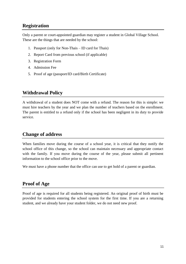#### **Registration**

Only a parent or court-appointed guardian may register a student in Global Village School. These are the things that are needed by the school:

- 1. Passport (only for Non-Thais ID card for Thais)
- 2. Report Card from previous school (if applicable)
- 3. Registration Form
- 4. Admission Fee
- 5. Proof of age (passport/ID card/Birth Certificate)

## **Withdrawal Policy**

A withdrawal of a student does NOT come with a refund. The reason for this is simple: we must hire teachers by the year and we plan the number of teachers based on the enrollment. The parent is entitled to a refund only if the school has been negligent in its duty to provide service.

## **Change of address**

When families move during the course of a school year, it is critical that they notify the school office of this change, so the school can maintain necessary and appropriate contact with the family. If you move during the course of the year, please submit all pertinent information to the school office prior to the move.

We must have a phone number that the office can use to get hold of a parent or guardian.

## **Proof of Age**

Proof of age is required for all students being registered. An original proof of birth must be provided for students entering the school system for the first time. If you are a returning student, and we already have your student folder, we do not need new proof.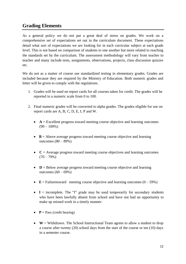## **Grading Elements**

As a general policy we do not put a great deal of stress on grades. We work on a comprehensive set of expectations set out in the curriculum document. These expectations detail what sort of expectations we are looking for in each curricular subject at each grade level. This is not based on comparison of students to one another but more related to reaching the standards set by the curriculum. The assessment methodology will vary from teacher to teacher and many include tests, assignments, observations, projects, class discussion quizzes etc.

We do not as a matter of course use standardized testing in elementary grades. Grades are included because they are required by the Ministry of Education. Both numeric grades and letter will be given to comply with the regulations.

- 1. Grades will be used on report cards for all courses taken for credit. The grades will be reported in a numeric scale from 0 to 100.
- 2. Final numeric grades will be converted to alpha grades. The grades eligible for use on report cards are A, B, C, D, E, I, P and W.
	- $\bullet$   $A =$  Excellent progress toward meeting course objective and learning outcomes  $(90 - 100\%)$
	- **B** = Above average progress toward meeting course objective and learning outcomes  $(80 - 89%)$
	- $\bullet$   $\mathbf{C}$  = Average progress toward meeting course objectives and learning outcomes  $(70 - 79\%)$
	- **D** = Below average progress toward meeting course objective and learning outcomes  $(60 - 69\%)$
	- $\mathbf{E} = \text{Failuretoward}$  meeting course objective and learning outcomes  $(0 59\%)$
	- $\bullet$  **I** = incomplete. The "I" grade may be used temporarily for secondary students who have been lawfully absent from school and have not had an opportunity to make up missed work in a timely manner.
	- $P = Pass$  (credit bearing)
	- $W =$  Withdrawn. The School Instructional Team agrees to allow a student to drop a course after twenty (20) school days from the start of the course or ten (10) days in a semester course.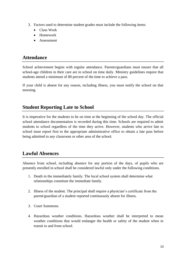- 3. Factors used to determine student grades must include the following items:
	- Class Work
	- Homework
	- Assessment

#### **Attendance**

School achievement begins with regular attendance. Parents/guardians must ensure that all school-age children in their care are in school on time daily. Ministry guidelines require that students attend a minimum of 80 percent of the time to achieve a pass.

If your child is absent for any reason, including illness, you must notify the school on that morning.

#### **Student Reporting Late to School**

It is imperative for the students to be on time at the beginning of the school day. The official school attendance documentation is recorded during this time. Schools are required to admit students to school regardless of the time they arrive. However, students who arrive late to school must report first to the appropriate administrative office to obtain a late pass before being admitted to any classroom or other area of the school.

## **Lawful Absences**

Absence from school, including absence for any portion of the days, of pupils who are presently enrolled in school shall be considered lawful only under the following conditions.

- 1. Death in the immediately family. The local school system shall determine what relationships constitute the immediate family.
- 2. Illness of the student. The principal shall require a physician's certificate from the parent/guardian of a student reported continuously absent for illness.
- 3. Court Summons.
- 4. Hazardous weather conditions. Hazardous weather shall be interpreted to mean weather conditions that would endanger the health or safety of the student when in transit to and from school.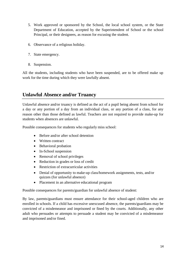- 5. Work approved or sponsored by the School, the local school system, or the State Department of Education, accepted by the Superintendent of School or the school Principal, or their designees, as reason for excusing the student.
- 6. Observance of a religious holiday.
- 7. State emergency.
- 8. Suspension.

All the students, including students who have been suspended, are to be offered make up work for the time during which they were lawfully absent.

#### **Unlawful Absence and/or Truancy**

Unlawful absence and/or truancy is defined as the act of a pupil being absent from school for a day or any portion of a day from an individual class, or any portion of a class, for any reason other than those defined as lawful. Teachers are not required to provide make-up for students when absences are unlawful.

Possible consequences for students who regularly miss school:

- Before and/or after school detention
- Written contract
- Behavioral probation
- In-School suspension
- Removal of school privileges
- Reduction in grades or loss of credit
- Restriction of extracurricular activities
- Denial of opportunity to make-up class/homework assignments, tests, and/or quizzes (for unlawful absence)
- Placement in an alternative educational program

Possible consequences for parents/guardian for unlawful absence of student:

By law, parents/guardians must ensure attendance for their school-aged children who are enrolled in schools. If a child has excessive unexcused absence, the parents/guardians may be convicted of a misdemeanor and imprisoned or fined by the courts. Additionally, any other adult who persuades or attempts to persuade a student may be convicted of a misdemeanor and imprisoned and/or fined.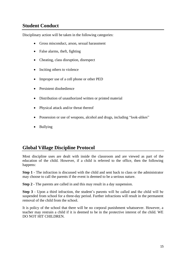## **Student Conduct**

Disciplinary action will be taken in the following categories:

- Gross misconduct, arson, sexual harassment
- False alarms, theft, fighting
- Cheating, class disruption, disrespect
- Inciting others to violence
- Improper use of a cell phone or other PED
- Persistent disobedience
- Distribution of unauthorized written or printed material
- Physical attack and/or threat thereof
- Possession or use of weapons, alcohol and drugs, including "look-alikes"
- Bullying

#### **Global Village Discipline Protocol**

Most discipline uses are dealt with inside the classroom and are viewed as part of the education of the child. However, if a child is referred to the office, then the following happens:

**Step 1** - The infraction is discussed with the child and sent back to class or the administrator may choose to call the parents if the event is deemed to be a serious nature.

**Step 2** - The parents are called in and this may result in a day suspension.

**Step 3** - Upon a third infraction, the student's parents will be called and the child will be suspended from school for a three-day period. Further infractions will result in the permanent removal of the child from the school.

It is policy of the school that there will be no corporal punishment whatsoever. However, a teacher may restrain a child if it is deemed to be in the protective interest of the child. WE DO NOT HIT CHILDREN.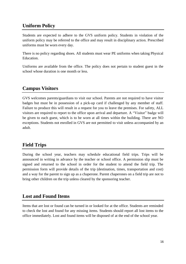## **Uniform Policy**

Students are expected to adhere to the GVS uniform policy. Students in violation of the uniform policy may be referred to the office and may result in disciplinary action. Prescribed uniforms must be worn every day.

There is no policy regarding shoes. All students must wear PE uniforms when taking Physical Education.

Uniforms are available from the office. The policy does not pertain to student guest in the school whose duration is one month or less.

## **Campus Visitors**

GVS welcomes parents/guardians to visit our school. Parents are not required to have visitor badges but must be in possession of a pick-up card if challenged by any member of staff. Failure to produce this will result in a request for you to leave the premises. For safety, ALL visitors are required to report to the office upon arrival and departure. A "Visitor" badge will be given to each guest, which is to be worn at all times within the building. There are NO exceptions. Students not enrolled in GVS are not permitted to visit unless accompanied by an adult.

## **Field Trips**

During the school year, teachers may schedule educational field trips. Trips will be announced in writing in advance by the teacher or school office. A permission slip must be signed and returned to the school in order for the student to attend the field trip. The permission form will provide details of the trip (destination, times, transportation and cost) and a way for the parent to sign up as a chaperone. Parent chaperones on a field trip are not to bring other children on the trip unless cleared by the sponsoring teacher.

## **Lost and Found Items**

Items that are lost or found can be turned in or looked for at the office. Students are reminded to check the lost and found for any missing items. Students should report all lost items to the office immediately. Lost and found items will be disposed of at the end of the school year.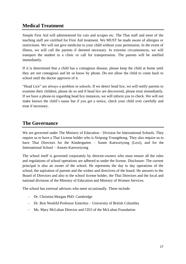#### **Medical Treatment**

Simple First Aid will administered for cuts and scrapes etc. The Thai staff and most of the teaching staff are certified for First Aid treatment. We MUST be made aware of allergies or restrictions. We will not give medicine to your child without your permission. In the event of illness, we will call the parents if deemed necessary. In extreme circumstances, we will transport the student to a clinic or call for transportation. The parents will be notified immediately.

If it is determined that a child has a contagious disease, please keep the child at home until they are not contagious and let us know by phone. Do not allow the child to come back to school until the doctor approves of it.

"Head Lice" are always a problem in schools. If we detect head lice, we will notify parents to examine their children, please do so and if head lice are discovered, please treat immediately. If we have a phone-in regarding head lice instances, we will inform you to check. We will not make known the child's name but if you get a notice, check your child over carefully and treat if necessary.

#### **The Governance**

We are governed under The Ministry of Education - Division for International Schools. They require us to have a Thai License holder who is Siripong Youngthong. They also require us to have Thai Directors for the Kindergarten – Sunee Kaewsriyong (Lexi), and for the International School – Amorn Kaewsriyong

The school itself is governed corporately by director-owners who must ensure all the rules and regulations of school operations are adhered to under the license. Disclosure: The current principal is also an owner of the school. He represents the day to day operations of the school, the aspiration of parents and the wishes and directives of the board. He answers to the Board of Directors and also to the school license holder, the Thai Directors and the local and national divisions of the Ministry of Education and Ministry of Women Services.

The school has external advisors who meet occasionally. These include:

- Dr. Christina Morgan PhD. Cambridge
- Dr. Ron Neufeld Professor Emeritus University of British Columbia
- Ms. Mary McLuhan Director and CEO of the McLuhan Foundation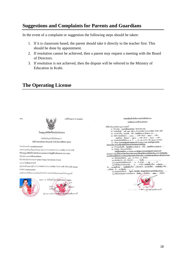#### **Suggestions and Complaints for Parents and Guardians**

In the event of a complaint or suggestion the following steps should be taken:

- 1. If it is classroom based, the parent should take it directly to the teacher first. This should be done by appointment.
- 2. If resolution cannot be achieved, then a parent may request a meeting with the Board of Directors.
- 3. If resolution is not achieved, then the dispute will be referred to the Ministry of Education in Krabi.

#### **The Operating License**



ใบอนุญาตให้จัดตั้งโรงเรียนในระบบ หนังสือสำคัญอบับนี้ให้ไว้เพื่อแสดงว่า บวิพัท โดลนอลวิลเลจ (โทยแลนด์) จำกัด โดยนายศิริพงศ์, อูงทอง ในทะเบียนเทรที่ อดอสสสสดสอบออ ลำนักงานแห่งใหญ่ ตั้งอยู่เอชที่ ๑๐๗ หญ่ที่ ๑ ตำบอ ศาสาต่าน ลำเภอ เกาะลันตา จัดเว็ด กระนี่ ได้รับอนุญาคให้จัดตั้งโรงเรียนในระบบดามพระราชบัญญัติโรงเรียนเอกชน พ.ศ. ๒๕๕๐ รือไรอรียน นานาชาติโกลบอลวิดเลข ซื้อโรคเรียนอักษรค่าสประเทศ Global Village International School

เลขที่ในอนุญาต กน พ/พ666

ประเภท โรงเรียนนานาชาติ

ยภู่บ้านมหพี่ ๑๙๙ หมู่ที่ ๑ คำบล ศาลาค่าน ลำเภอ เกาะลันตา จัดหวัด กระนี่ รหัสไปรษณีช์ ๘๑๑๕๐ ไทวศัพท์ ออสร-ลอดลอดสลล

และมีคราสารจัดตั้งและรายตะเลียคเกี่ยวกับกิจการของโรงเรียนในระบบแนบท้ายใบอนุญาตนี้



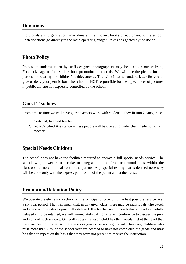#### **Donations**

Individuals and organizations may donate time, money, books or equipment to the school. Cash donations go directly to the main operating budget, unless designated by the donor.

#### **Photo Policy**

Photos of students taken by staff-designed photographers may be used on our website, Facebook page or for use in school promotional materials. We will use the picture for the purpose of sharing the children's achievements. The school has a standard letter for you to give or deny your permission. The school is NOT responsible for the appearances of pictures in public that are not expressly controlled by the school.

## **Guest Teachers**

From time to time we will have guest teachers work with students. They fit into 2 categories:

- 1. Certified, licensed teacher.
- 2. Non-Certified Assistance these people will be operating under the jurisdiction of a teacher.

## **Special Needs Children**

The school does not have the facilities required to operate a full special needs service. The school will, however, undertake to integrate the required accommodations within the classroom at no additional cost to the parents. Any special testing that is deemed necessary will be done only with the express permission of the parent and at their cost.

## **Promotion/Retention Policy**

We operate the elementary school on the principal of providing the best possible service over a six-year period. That will mean that, in any given class, there may be individuals who excel, and some who are developmentally delayed. If a teacher recommends that a developmentally delayed child be retained, we will immediately call for a parent conference to discuss the pros and cons of such a move. Generally speaking, each child has their needs met at the level that they are performing at, so the grade designation is not significant. However, children who miss more than 20% of the school year are deemed to have not completed the grade and may be asked to repeat on the basis that they were not present to receive the instruction.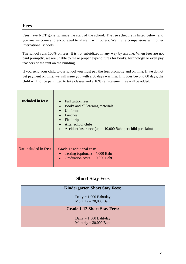#### **Fees**

Fees have NOT gone up since the start of the school. The fee schedule is listed below, and you are welcome and encouraged to share it with others. We invite comparisons with other international schools.

The school runs 100% on fees. It is not subsidized in any way by anyone. When fees are not paid promptly, we are unable to make proper expenditures for books, technology or even pay teachers or the rent on the building.

If you send your child to our school you must pay the fees promptly and on time. If we do not get payment on time, we will issue you with a 30 days warning. If it goes beyond 60 days, the child will not be permitted to take classes and a 10% reinstatement fee will be added.

| <b>Included in fees:</b>     | Full tuition fees<br>Books and all learning materials<br>Uniforms<br>Lunches<br>$\bullet$<br>Field trips<br>After school clubs<br>Accident insurance (up to 10,000 Baht per child per claim)<br>$\bullet$ |
|------------------------------|-----------------------------------------------------------------------------------------------------------------------------------------------------------------------------------------------------------|
| <b>Not included in fees:</b> | Grade 12 additional costs:<br>Testing (optional) $-7,000$ Baht<br>Graduation $costs - 10,000$ Baht                                                                                                        |

## **Short Stay Fees**

| <b>Kindergarten Short Stay Fees:</b>                |
|-----------------------------------------------------|
| Daily = $1,000$ Baht/day<br>Monthly = $20,000$ Baht |
| <b>Grade 1-12 Short Stay Fees:</b>                  |
| Daily = $1,500$ Baht/day<br>Monthly = $30,000$ Baht |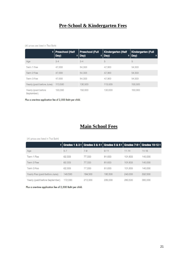## **Pre-School & Kindergarten Fees**

#### (All prices are listed in Thai Baht)

|                                   | $\div$ Preschool (Half<br>Day)<br>٠ | <b>Preschool (Full</b><br>Day)<br>$\bullet$ | <b>Kindergarten (Half</b><br>Day)<br>$\bullet$ | <b>Kindergarten (Full</b><br>Day)<br>÷ |
|-----------------------------------|-------------------------------------|---------------------------------------------|------------------------------------------------|----------------------------------------|
| Age                               | $3 - 4$                             | $3 - 4$                                     | 5                                              | 5                                      |
| Term 1 Fee                        | 47,000                              | 54,333                                      | 47,000                                         | 54,333                                 |
| Term 2 Fee                        | 47,000                              | 54,333                                      | 47,000                                         | 54,333                                 |
| Term 3 Fee                        | 47,000                              | 54,333                                      | 47,000                                         | 54,333                                 |
| Yearly (paid before June)         | 113,500                             | 130,500                                     | 113,500                                        | 130,500                                |
| Yearly (paid before<br>September) | 130,000                             | 150,000                                     | 130,000                                        | 150,000                                |

Plus a one-time application fee of 2,500 Baht per child.

## **Main School Fees**

#### (All prices are listed in Thai Baht)

|                                | $\frac{1}{2}$ Grades 1 & 2 = Grades 3 & 4 = Grades 5 & 6 = Grades 7-9 = Grades 10-12 = |         |          |           |           |
|--------------------------------|----------------------------------------------------------------------------------------|---------|----------|-----------|-----------|
| Age                            | $5 - 7$                                                                                | $7 - 9$ | $9 - 11$ | $11 - 14$ | $14 - 18$ |
| Term 1 Fee                     | 62.333                                                                                 | 77.333  | 81,833   | 101.833   | 140,000   |
| Term 2 Fee                     | 62.333                                                                                 | 77,333  | 81,833   | 101,833   | 140,000   |
| Term 3 Fee                     | 62,333                                                                                 | 77,333  | 81,833   | 101,833   | 140,000   |
| Yearly Fee (paid before June)  | 149,500                                                                                | 184,500 | 195,500  | 243,000   | 332,500   |
| Yearly (paid before September) | 172,000                                                                                | 213,000 | 226,000  | 280,500   | 385,000   |

Plus a one-time application fee of 2,500 Baht per child.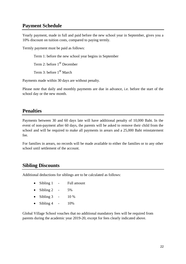#### **Payment Schedule**

Yearly payment, made in full and paid before the new school year in September, gives you a 10% discount on tuition costs, compared to paying termly.

Termly payment must be paid as follows:

Term 1: before the new school year begins in September

Term 2: before 1<sup>st</sup> December

Term 3: before 1<sup>st</sup> March

Payments made within 30 days are without penalty.

Please note that daily and monthly payments are due in advance, i.e. before the start of the school day or the new month.

#### **Penalties**

Payments between 30 and 60 days late will have additional penalty of 10,000 Baht. In the event of non-payment after 60 days, the parents will be asked to remove their child from the school and will be required to make all payments in arears and a 25,000 Baht reinstatement fee.

For families in arears, no records will be made available to either the families or to any other school until settlement of the account.

#### **Sibling Discounts**

Additional deductions for siblings are to be calculated as follows:

- Sibling 1 Full amount
- Sibling 2  $-5\%$
- Sibling  $3 10\%$
- Sibling 4  $-10\%$

Global Village School vouches that no additional mandatory fees will be required from parents during the academic year 2019-20, except for fees clearly indicated above.